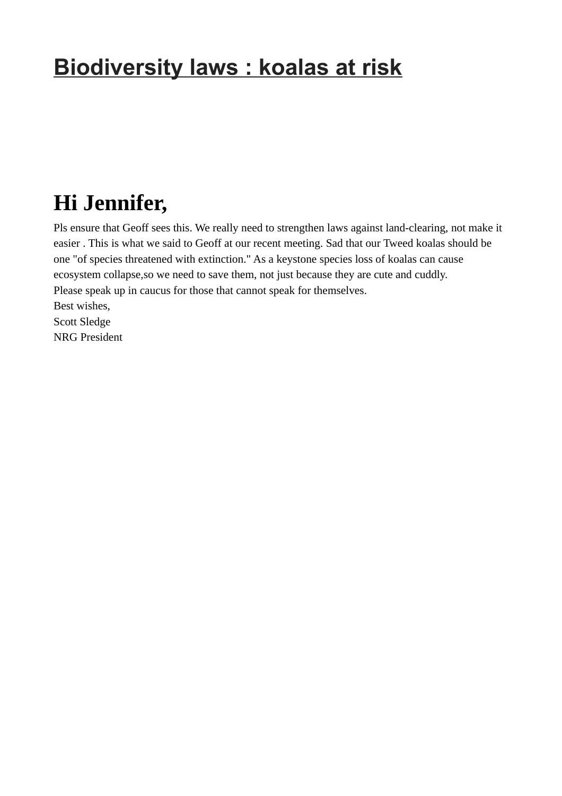## **Biodiversity laws : koalas at risk**

## **Hi Jennifer,**

Pls ensure that Geoff sees this. We really need to strengthen laws against land-clearing, not make it easier . This is what we said to Geoff at our recent meeting. Sad that our Tweed koalas should be one "of species threatened with extinction." As a keystone species loss of koalas can cause ecosystem collapse,so we need to save them, not just because they are cute and cuddly. Please speak up in caucus for those that cannot speak for themselves. Best wishes, Scott Sledge NRG President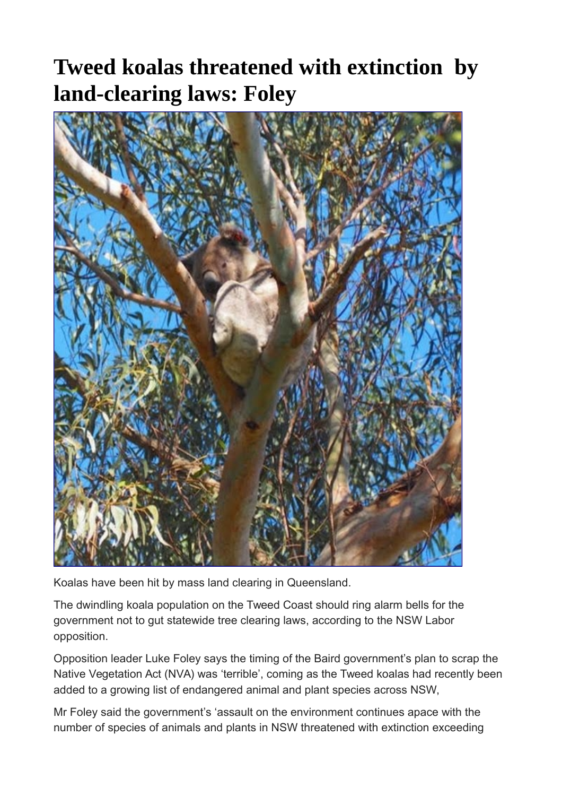## **Tweed koalas threatened with extinction by land-clearing laws: Foley**



Koalas have been hit by mass land clearing in Queensland.

The dwindling koala population on the Tweed Coast should ring alarm bells for the government not to gut statewide tree clearing laws, according to the NSW Labor opposition.

Opposition leader Luke Foley says the timing of the Baird government's plan to scrap the Native Vegetation Act (NVA) was 'terrible', coming as the Tweed koalas had recently been added to a growing list of endangered animal and plant species across NSW,

Mr Foley said the government's 'assault on the environment continues apace with the number of species of animals and plants in NSW threatened with extinction exceeding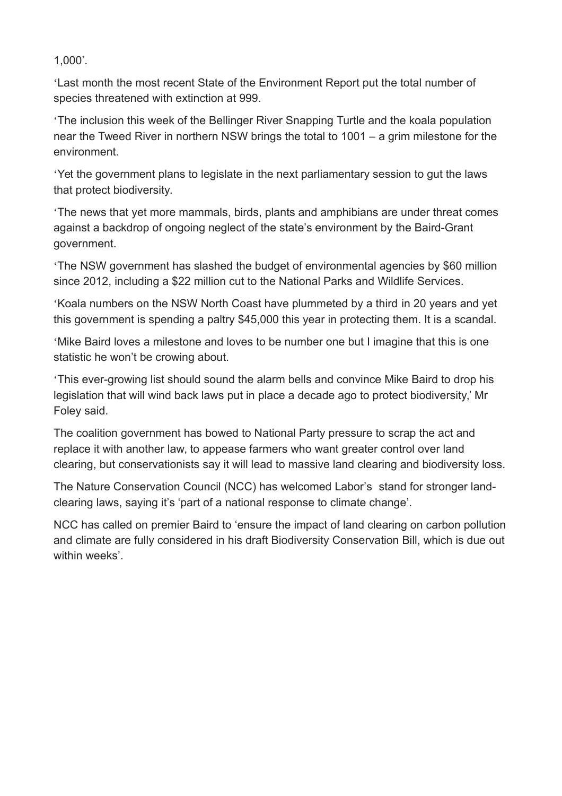1,000'.

'Last month the most recent State of the Environment Report put the total number of species threatened with extinction at 999.

'The inclusion this week of the Bellinger River Snapping Turtle and the koala population near the Tweed River in northern NSW brings the total to 1001 – a grim milestone for the environment.

'Yet the government plans to legislate in the next parliamentary session to gut the laws that protect biodiversity.

'The news that yet more mammals, birds, plants and amphibians are under threat comes against a backdrop of ongoing neglect of the state's environment by the Baird-Grant government.

'The NSW government has slashed the budget of environmental agencies by \$60 million since 2012, including a \$22 million cut to the National Parks and Wildlife Services.

'Koala numbers on the NSW North Coast have plummeted by a third in 20 years and yet this government is spending a paltry \$45,000 this year in protecting them. It is a scandal.

'Mike Baird loves a milestone and loves to be number one but I imagine that this is one statistic he won't be crowing about.

'This ever-growing list should sound the alarm bells and convince Mike Baird to drop his legislation that will wind back laws put in place a decade ago to protect biodiversity,' Mr Foley said.

The coalition government has bowed to National Party pressure to scrap the act and replace it with another law, to appease farmers who want greater control over land clearing, but conservationists say it will lead to massive land clearing and biodiversity loss.

The Nature Conservation Council (NCC) has welcomed Labor's stand for stronger landclearing laws, saying it's 'part of a national response to climate change'.

NCC has called on premier Baird to 'ensure the impact of land clearing on carbon pollution and climate are fully considered in his draft Biodiversity Conservation Bill, which is due out within weeks'